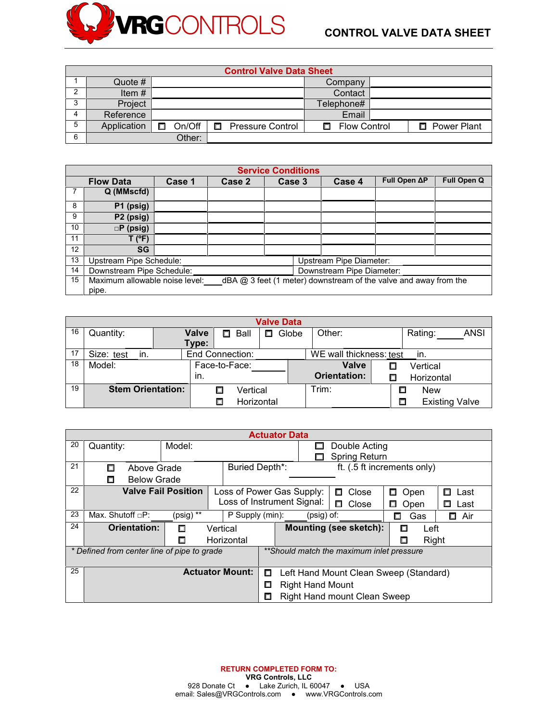

|    | <b>Control Valve Data Sheet</b> |        |   |                         |    |                     |  |                      |  |  |  |  |
|----|---------------------------------|--------|---|-------------------------|----|---------------------|--|----------------------|--|--|--|--|
|    | Quote #                         |        |   |                         |    | Company             |  |                      |  |  |  |  |
| 2  | Item $#$                        |        |   |                         |    | Contact             |  |                      |  |  |  |  |
| C  | Project                         |        |   |                         |    | Telephone#          |  |                      |  |  |  |  |
| 4  | Reference                       |        |   |                         |    | Email               |  |                      |  |  |  |  |
| 5  | Application                     | On/Off | п | <b>Pressure Control</b> | п. | <b>Flow Control</b> |  | <b>D</b> Power Plant |  |  |  |  |
| -6 |                                 | Other: |   |                         |    |                     |  |                      |  |  |  |  |

|    | <b>Service Conditions</b>                                                                                 |        |        |        |                                |              |             |  |  |  |
|----|-----------------------------------------------------------------------------------------------------------|--------|--------|--------|--------------------------------|--------------|-------------|--|--|--|
|    | <b>Flow Data</b>                                                                                          | Case 1 | Case 2 | Case 3 | Case 4                         | Full Open ∆P | Full Open Q |  |  |  |
|    | Q (MMscfd)                                                                                                |        |        |        |                                |              |             |  |  |  |
| 8  | P1 (psig)                                                                                                 |        |        |        |                                |              |             |  |  |  |
| 9  | P <sub>2</sub> (psig)                                                                                     |        |        |        |                                |              |             |  |  |  |
| 10 | $\Box P$ (psig)                                                                                           |        |        |        |                                |              |             |  |  |  |
| 11 | $T$ (°F)                                                                                                  |        |        |        |                                |              |             |  |  |  |
| 12 | <b>SG</b>                                                                                                 |        |        |        |                                |              |             |  |  |  |
| 13 | Upstream Pipe Schedule:                                                                                   |        |        |        | <b>Upstream Pipe Diameter:</b> |              |             |  |  |  |
| 14 | Downstream Pipe Schedule:                                                                                 |        |        |        | Downstream Pipe Diameter:      |              |             |  |  |  |
| 15 | Maximum allowable noise level: dBA $@3$ feet (1 meter) downstream of the valve and away from the<br>pipe. |        |        |        |                                |              |             |  |  |  |

|    | <b>Valve Data</b>        |  |                 |               |            |       |                                |   |                       |      |
|----|--------------------------|--|-----------------|---------------|------------|-------|--------------------------------|---|-----------------------|------|
| 16 | Quantity:                |  | Valve           | Ball<br>П.    |            | Globe | Other:                         |   | Rating:               | ANSI |
|    |                          |  | Type:           |               |            |       |                                |   |                       |      |
| 17 | Size: test<br>in.        |  | End Connection: |               |            |       | WE wall thickness: test<br>in. |   |                       |      |
| 18 | Model:                   |  |                 | Face-to-Face: |            |       | Valve                          | П | Vertical              |      |
|    |                          |  | in.             |               |            |       | <b>Orientation:</b>            | П | Horizontal            |      |
| 19 | <b>Stem Orientation:</b> |  |                 | Vertical<br>□ |            |       | Trim:                          |   | <b>New</b>            |      |
|    |                          |  |                 |               | Horizontal |       |                                |   | <b>Existing Valve</b> |      |

|    | <b>Actuator Data</b>                        |                                             |                                     |  |                             |                                           |               |               |  |  |
|----|---------------------------------------------|---------------------------------------------|-------------------------------------|--|-----------------------------|-------------------------------------------|---------------|---------------|--|--|
| 20 | Model:<br>Quantity:                         |                                             |                                     |  | Double Acting               |                                           |               |               |  |  |
|    |                                             |                                             |                                     |  |                             | <b>Spring Return</b>                      |               |               |  |  |
| 21 | П<br>Above Grade                            |                                             | <b>Buried Depth*:</b>               |  | ft. (.5 ft increments only) |                                           |               |               |  |  |
|    | <b>Below Grade</b><br>Ω                     |                                             |                                     |  |                             |                                           |               |               |  |  |
| 22 | <b>Valve Fail Position</b>                  |                                             | Loss of Power Gas Supply:           |  |                             | Close<br>П.                               | □ Open        | □<br>Last     |  |  |
|    |                                             |                                             | Loss of Instrument Signal:          |  |                             | Close<br>п.                               | $\Box$ Open   | Last          |  |  |
| 23 | Max. Shutoff $\Box P$ :                     | (psig) **                                   | P Supply (min):                     |  | $(psig)$ of:                |                                           | Gas<br>$\Box$ | Air<br>$\Box$ |  |  |
| 24 | <b>Orientation:</b><br>Vertical<br>П        |                                             |                                     |  |                             | <b>Mounting (see sketch):</b>             | Left<br>п     |               |  |  |
|    |                                             | Horizontal<br>Δ                             |                                     |  |                             |                                           | Right<br>Π    |               |  |  |
|    | * Defined from center line of pipe to grade |                                             |                                     |  |                             | **Should match the maximum inlet pressure |               |               |  |  |
|    |                                             |                                             | <b>Actuator Mount:</b>              |  |                             |                                           |               |               |  |  |
| 25 |                                             | Left Hand Mount Clean Sweep (Standard)<br>□ |                                     |  |                             |                                           |               |               |  |  |
|    |                                             | <b>Right Hand Mount</b><br>□                |                                     |  |                             |                                           |               |               |  |  |
|    |                                             | Π                                           | <b>Right Hand mount Clean Sweep</b> |  |                             |                                           |               |               |  |  |